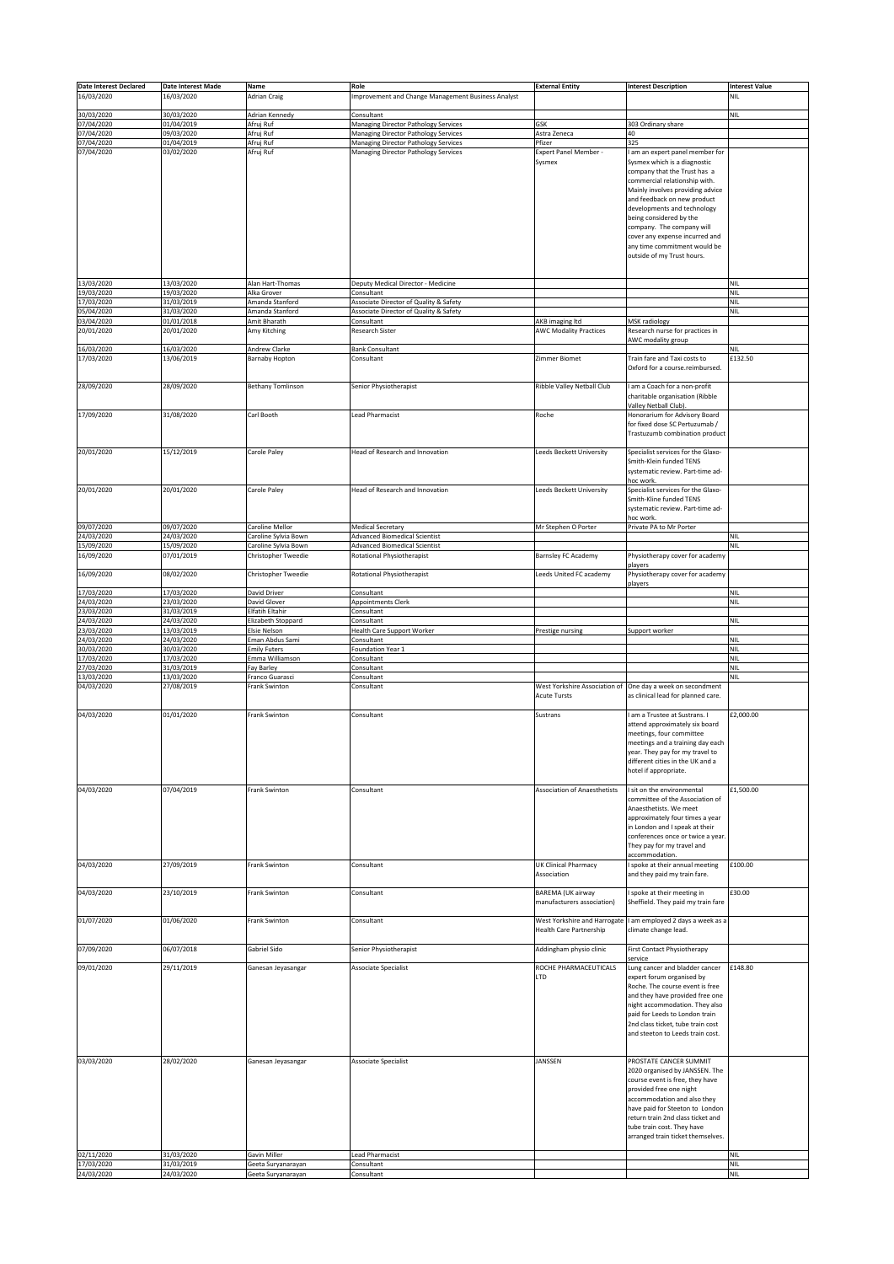| <b>Date Interest Declared</b> | Date Interest Made       | Name                                    | Role                                                             | <b>External Entity</b>                     | <b>Interest Description</b>                                           | <b>Interest Value</b>    |
|-------------------------------|--------------------------|-----------------------------------------|------------------------------------------------------------------|--------------------------------------------|-----------------------------------------------------------------------|--------------------------|
| 16/03/2020                    | 16/03/2020               | <b>Adrian Craig</b>                     | Improvement and Change Management Business Analyst               |                                            |                                                                       | <b>NIL</b>               |
|                               |                          |                                         |                                                                  |                                            |                                                                       |                          |
| 30/03/2020<br>07/04/2020      | 30/03/2020<br>01/04/2019 | Adrian Kennedy<br>Afruj Ruf             | Consultant<br>Managing Director Pathology Services               | GSK                                        | 303 Ordinary share                                                    | <b>NIL</b>               |
| 07/04/2020                    | 09/03/2020               | Afruj Ruf                               | <b>Managing Director Pathology Services</b>                      | Astra Zeneca                               | 40                                                                    |                          |
| 07/04/2020                    | 01/04/2019               | Afruj Ruf                               | <b>Managing Director Pathology Services</b>                      | Pfizer                                     | 325                                                                   |                          |
| 07/04/2020                    | 03/02/2020               | Afruj Ruf                               | Managing Director Pathology Services                             | Expert Panel Member -<br>Sysmex            | I am an expert panel member for<br>Sysmex which is a diagnostic       |                          |
|                               |                          |                                         |                                                                  |                                            | company that the Trust has a<br>commercial relationship with.         |                          |
|                               |                          |                                         |                                                                  |                                            | Mainly involves providing advice                                      |                          |
|                               |                          |                                         |                                                                  |                                            | and feedback on new product                                           |                          |
|                               |                          |                                         |                                                                  |                                            | developments and technology                                           |                          |
|                               |                          |                                         |                                                                  |                                            | being considered by the<br>company. The company will                  |                          |
|                               |                          |                                         |                                                                  |                                            | cover any expense incurred and                                        |                          |
|                               |                          |                                         |                                                                  |                                            | any time commitment would be                                          |                          |
|                               |                          |                                         |                                                                  |                                            | outside of my Trust hours.                                            |                          |
|                               |                          |                                         |                                                                  |                                            |                                                                       |                          |
| 13/03/2020                    | 13/03/2020               | Alan Hart-Thomas                        | Deputy Medical Director - Medicine                               |                                            |                                                                       | <b>NIL</b>               |
| 19/03/2020                    | 19/03/2020               | Alka Grover                             | Consultant                                                       |                                            |                                                                       | <b>NIL</b>               |
| 17/03/2020                    | 31/03/2019               | Amanda Stanford                         | Associate Director of Quality & Safety                           |                                            |                                                                       | <b>NIL</b>               |
| 05/04/2020<br>03/04/2020      | 31/03/2020<br>01/01/2018 | Amanda Stanford<br>Amit Bharath         | Associate Director of Quality & Safety<br>Consultant             | AKB imaging ltd                            | MSK radiology                                                         | <b>NIL</b>               |
| 20/01/2020                    | 20/01/2020               | Amy Kitching                            | Research Sister                                                  | <b>AWC Modality Practices</b>              | Research nurse for practices in                                       |                          |
|                               |                          |                                         |                                                                  |                                            | AWC modality group                                                    |                          |
| 16/03/2020<br>17/03/2020      | 16/03/2020<br>13/06/2019 | Andrew Clarke<br><b>Barnaby Hopton</b>  | Bank Consultant<br>Consultant                                    | Zimmer Biomet                              | Train fare and Taxi costs to                                          | <b>NIL</b><br>£132.50    |
|                               |                          |                                         |                                                                  |                                            | Oxford for a course.reimbursed.                                       |                          |
|                               |                          |                                         |                                                                  |                                            |                                                                       |                          |
| 28/09/2020                    | 28/09/2020               | <b>Bethany Tomlinson</b>                | Senior Physiotherapist                                           | Ribble Valley Netball Club                 | am a Coach for a non-profit                                           |                          |
|                               |                          |                                         |                                                                  |                                            | charitable organisation (Ribble<br>Valley Netball Club)               |                          |
| 17/09/2020                    | 31/08/2020               | Carl Booth                              | <b>Lead Pharmacist</b>                                           | Roche                                      | Honorarium for Advisory Board                                         |                          |
|                               |                          |                                         |                                                                  |                                            | for fixed dose SC Pertuzumab /                                        |                          |
|                               |                          |                                         |                                                                  |                                            | Trastuzumb combination product                                        |                          |
| 20/01/2020                    | 15/12/2019               | Carole Paley                            | Head of Research and Innovation                                  | Leeds Beckett University                   | Specialist services for the Glaxo-                                    |                          |
|                               |                          |                                         |                                                                  |                                            | Smith-Klein funded TENS                                               |                          |
|                               |                          |                                         |                                                                  |                                            | systematic review. Part-time ad-                                      |                          |
| 20/01/2020                    | 20/01/2020               | Carole Paley                            | Head of Research and Innovation                                  | Leeds Beckett University                   | hoc work.<br>Specialist services for the Glaxo-                       |                          |
|                               |                          |                                         |                                                                  |                                            | Smith-Kline funded TENS                                               |                          |
|                               |                          |                                         |                                                                  |                                            | systematic review. Part-time ad-                                      |                          |
|                               |                          |                                         |                                                                  |                                            | hoc work.                                                             |                          |
| 09/07/2020<br>24/03/2020      | 09/07/2020<br>24/03/2020 | Caroline Mellor<br>Caroline Sylvia Bown | <b>Medical Secretary</b><br><b>Advanced Biomedical Scientist</b> | Mr Stephen O Porter                        | Private PA to Mr Porter                                               | <b>NIL</b>               |
| 15/09/2020                    | 15/09/2020               | Caroline Sylvia Bown                    | <b>Advanced Biomedical Scientist</b>                             |                                            |                                                                       | <b>NIL</b>               |
| 16/09/2020                    | 07/01/2019               | Christopher Tweedie                     | Rotational Physiotherapist                                       | Barnsley FC Academy                        | Physiotherapy cover for academy                                       |                          |
| 16/09/2020                    | 08/02/2020               | Christopher Tweedie                     | <b>Rotational Physiotherapist</b>                                | Leeds United FC academy                    | players<br>Physiotherapy cover for academy                            |                          |
|                               |                          |                                         |                                                                  |                                            | players                                                               |                          |
| 17/03/2020                    | 17/03/2020               | David Driver                            | Consultant                                                       |                                            |                                                                       | <b>NIL</b>               |
| 24/03/2020                    | 23/03/2020               | David Glover                            | Appointments Clerk                                               |                                            |                                                                       | <b>NIL</b>               |
| 23/03/2020<br>24/03/2020      | 31/03/2019<br>24/03/2020 | Elfatih Eltahir<br>Elizabeth Stoppard   | Consultant<br>Consultant                                         |                                            |                                                                       | <b>NIL</b>               |
| 23/03/2020                    | 13/03/2019               | <b>Elsie Nelson</b>                     | <b>Health Care Support Worker</b>                                | Prestige nursing                           | Support worker                                                        |                          |
| 24/03/2020                    | 24/03/2020               | Eman Abdus Sami                         | Consultant                                                       |                                            |                                                                       | <b>NIL</b>               |
| 30/03/2020                    | 30/03/2020               | <b>Emily Futers</b>                     | Foundation Year 1                                                |                                            |                                                                       | <b>NIL</b>               |
| 17/03/2020<br>27/03/2020      | 17/03/2020<br>31/03/2019 | Emma Williamson<br>Fay Barley           | Consultant<br>Consultant                                         |                                            |                                                                       | <b>NIL</b><br><b>NIL</b> |
| 13/03/2020                    | 13/03/2020               | Franco Guarasci                         | Consultant                                                       |                                            |                                                                       | <b>NIL</b>               |
| 04/03/2020                    | 27/08/2019               | Frank Swinton                           | Consultant                                                       | West Yorkshire Association of              | One day a week on secondment                                          |                          |
|                               |                          |                                         |                                                                  | <b>Acute Tursts</b>                        | as clinical lead for planned care.                                    |                          |
| 04/03/2020                    | 01/01/2020               | Frank Swinton                           | Consultant                                                       | Sustrans                                   | am a Trustee at Sustrans. I                                           | £2,000.00                |
|                               |                          |                                         |                                                                  |                                            | attend approximately six board                                        |                          |
|                               |                          |                                         |                                                                  |                                            | meetings, four committee<br>meetings and a training day each          |                          |
|                               |                          |                                         |                                                                  |                                            | ear. They pay for my travel to                                        |                          |
|                               |                          |                                         |                                                                  |                                            | different cities in the UK and a                                      |                          |
|                               |                          |                                         |                                                                  |                                            | hotel if appropriate.                                                 |                          |
| 04/03/2020                    | 07/04/2019               | Frank Swinton                           | Consultant                                                       | Association of Anaesthetists               | I sit on the environmental                                            | £1,500.00                |
|                               |                          |                                         |                                                                  |                                            | committee of the Association of                                       |                          |
|                               |                          |                                         |                                                                  |                                            | Anaesthetists. We meet                                                |                          |
|                               |                          |                                         |                                                                  |                                            | approximately four times a year                                       |                          |
|                               |                          |                                         |                                                                  |                                            | in London and I speak at their<br>conferences once or twice a year.   |                          |
|                               |                          |                                         |                                                                  |                                            | They pay for my travel and                                            |                          |
|                               |                          |                                         |                                                                  |                                            | accommodation.                                                        |                          |
| 04/03/2020                    | 27/09/2019               | Frank Swinton                           | Consultant                                                       | <b>UK Clinical Pharmacy</b><br>Association | spoke at their annual meeting<br>and they paid my train fare.         | £100.00                  |
|                               |                          |                                         |                                                                  |                                            |                                                                       |                          |
| 04/03/2020                    | 23/10/2019               | Frank Swinton                           | Consultant                                                       | <b>BAREMA (UK airway</b>                   | spoke at their meeting in                                             | £30.00                   |
|                               |                          |                                         |                                                                  | manufacturers association)                 | Sheffield. They paid my train fare                                    |                          |
| 01/07/2020                    | 01/06/2020               | Frank Swinton                           | Consultant                                                       | West Yorkshire and Harrogate               | am employed 2 days a week as a                                        |                          |
|                               |                          |                                         |                                                                  | <b>Health Care Partnership</b>             | climate change lead.                                                  |                          |
| 07/09/2020                    | 06/07/2018               | Gabriel Sido                            | Senior Physiotherapist                                           | Addingham physio clinic                    | <b>First Contact Physiotherapy</b>                                    |                          |
|                               |                          |                                         |                                                                  |                                            | ervice                                                                |                          |
| 09/01/2020                    | 29/11/2019               | Ganesan Jeyasangar                      | Associate Specialist                                             | ROCHE PHARMACEUTICALS                      | Lung cancer and bladder cancer                                        | £148.80                  |
|                               |                          |                                         |                                                                  | LTD                                        | expert forum organised by<br>Roche. The course event is free          |                          |
|                               |                          |                                         |                                                                  |                                            | and they have provided free one                                       |                          |
|                               |                          |                                         |                                                                  |                                            | night accommodation. They also                                        |                          |
|                               |                          |                                         |                                                                  |                                            | paid for Leeds to London train                                        |                          |
|                               |                          |                                         |                                                                  |                                            | 2nd class ticket, tube train cost<br>and steeton to Leeds train cost. |                          |
|                               |                          |                                         |                                                                  |                                            |                                                                       |                          |
|                               |                          |                                         |                                                                  |                                            |                                                                       |                          |
| 03/03/2020                    | 28/02/2020               | Ganesan Jeyasangar                      | Associate Specialist                                             | JANSSEN                                    | PROSTATE CANCER SUMMIT                                                |                          |
|                               |                          |                                         |                                                                  |                                            | 2020 organised by JANSSEN. The<br>course event is free, they have     |                          |
|                               |                          |                                         |                                                                  |                                            | provided free one night                                               |                          |
|                               |                          |                                         |                                                                  |                                            | accommodation and also they                                           |                          |
|                               |                          |                                         |                                                                  |                                            | have paid for Steeton to London<br>return train 2nd class ticket and  |                          |
|                               |                          |                                         |                                                                  |                                            | tube train cost. They have                                            |                          |
|                               |                          |                                         |                                                                  |                                            | arranged train ticket themselves.                                     |                          |
|                               |                          |                                         |                                                                  |                                            |                                                                       |                          |
| 02/11/2020<br>17/03/2020      | 31/03/2020<br>31/03/2019 | Gavin Miller<br>Geeta Suryanarayan      | <b>Lead Pharmacist</b><br>Consultant                             |                                            |                                                                       | <b>NIL</b><br><b>NIL</b> |
|                               |                          | Geeta Suryanarayan                      | Consultant                                                       |                                            |                                                                       | NIL                      |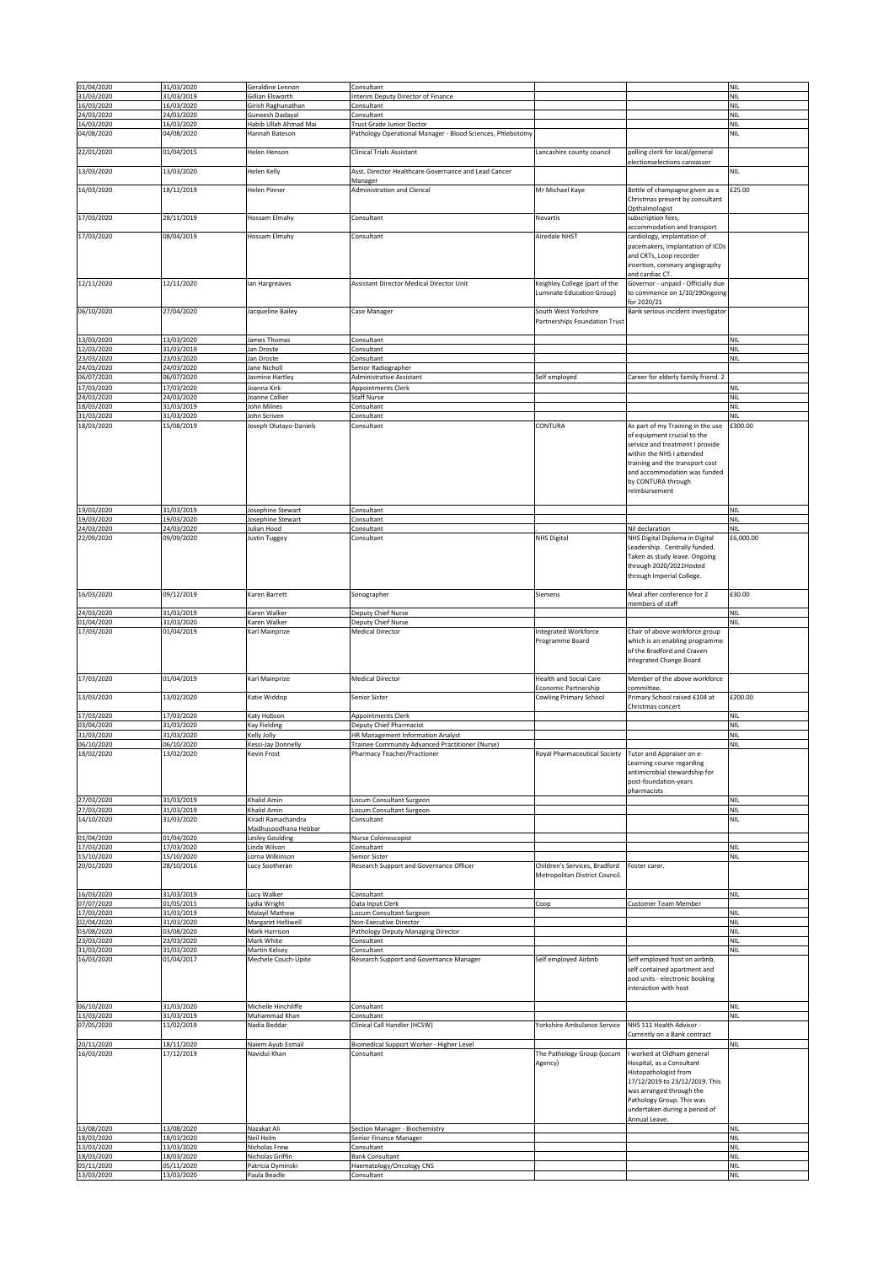| 01/04/2020               | 31/03/2020               | Geraldine Lennon                             | Consultant                                                                     |                                                                 |                                                                                                                                                                                                                             | <b>NIL</b>               |
|--------------------------|--------------------------|----------------------------------------------|--------------------------------------------------------------------------------|-----------------------------------------------------------------|-----------------------------------------------------------------------------------------------------------------------------------------------------------------------------------------------------------------------------|--------------------------|
| 31/03/2020               | 31/03/2019               | Gillian Elsworth                             | Interim Deputy Director of Finance                                             |                                                                 |                                                                                                                                                                                                                             | <b>NIL</b>               |
| 16/03/2020<br>24/03/2020 | 16/03/2020<br>24/03/2020 | Girish Raghunathan<br><b>Suneesh Dadayal</b> | Consultant<br>Consultant                                                       |                                                                 |                                                                                                                                                                                                                             | <b>NIL</b><br><b>NIL</b> |
| 16/03/2020               | 16/03/2020               | Habib Ullah Ahmad Mai                        | Trust Grade Junior Doctor                                                      |                                                                 |                                                                                                                                                                                                                             | <b>NIL</b>               |
| 04/08/2020               | 04/08/2020               | Hannah Bateson                               | Pathology Operational Manager - Blood Sciences, Phlebotomy                     |                                                                 |                                                                                                                                                                                                                             | NIL                      |
| 22/01/2020               | 01/04/2015               | Helen Henson                                 | <b>Clinical Trials Assistant</b>                                               | Lancashire county council                                       | polling clerk for local/general                                                                                                                                                                                             |                          |
| 13/03/2020               | 13/03/2020               | Helen Kelly                                  | Asst. Director Healthcare Governance and Lead Cancer                           |                                                                 | electionselections canvasser                                                                                                                                                                                                | NIL                      |
| 16/03/2020               | 18/12/2019               | Helen Pinner                                 | Manager<br><b>Administration and Clerical</b>                                  | Mr Michael Kaye                                                 | Bottle of champagne given as a                                                                                                                                                                                              | £25.00                   |
|                          |                          |                                              |                                                                                |                                                                 | Christmas present by consultant<br>Opthalmologist                                                                                                                                                                           |                          |
| 17/03/2020               | 28/11/2019               | Hossam Elmahy                                | Consultant                                                                     | Novartis                                                        | subscription fees,<br>accommodation and transport                                                                                                                                                                           |                          |
| 17/03/2020               | 08/04/2019               | Hossam Elmahy                                | Consultant                                                                     | Airedale NHST                                                   | cardiology, implantation of<br>pacemakers, implantation of ICDs                                                                                                                                                             |                          |
|                          |                          |                                              |                                                                                |                                                                 | and CRTs, Loop recorder<br>insertion, coronary angiography<br>and cardiac CT.                                                                                                                                               |                          |
| 12/11/2020               | 12/11/2020               | lan Hargreaves                               | Assistant Director Medical Director Unit                                       | Keighley College (part of the<br>Luminate Education Group)      | Governor - unpaid - Officially due<br>to commence on 1/10/19Ongoing<br>for 2020/21                                                                                                                                          |                          |
| 06/10/2020               | 27/04/2020               | Jacqueline Bailey                            | Case Manager                                                                   | South West Yorkshire<br>Partnerships Foundation Trust           | Bank serious incident investigator                                                                                                                                                                                          |                          |
| 13/03/2020<br>12/03/2020 | 13/03/2020<br>31/03/2019 | James Thomas<br>lan Droste                   | Consultant<br>Consultant                                                       |                                                                 |                                                                                                                                                                                                                             | <b>NIL</b><br><b>NIL</b> |
| 23/03/2020               | 23/03/2020               | lan Droste                                   | Consultant                                                                     |                                                                 |                                                                                                                                                                                                                             | <b>NIL</b>               |
| 24/03/2020               | 24/03/2020               | Jane Nicholl                                 | Senior Radiographer                                                            |                                                                 |                                                                                                                                                                                                                             |                          |
| 06/07/2020               | 06/07/2020               | Jasmine Hartley                              | <b>Administrative Assistant</b>                                                | Self employed                                                   | Career for elderly family friend. 2                                                                                                                                                                                         |                          |
| 17/03/2020               | 17/03/2020               | Joanna Kirk                                  | Appointments Clerk                                                             |                                                                 |                                                                                                                                                                                                                             | <b>NIL</b>               |
| 24/03/2020<br>18/03/2020 | 24/03/2020<br>31/03/2019 | Joanne Collier<br>John Milnes                | Staff Nurse<br>Consultant                                                      |                                                                 |                                                                                                                                                                                                                             | <b>NIL</b><br><b>NIL</b> |
| 31/03/2020               | 31/03/2020               | John Scriven                                 | Consultant                                                                     |                                                                 |                                                                                                                                                                                                                             | NIL                      |
| 18/03/2020               | 15/08/2019               | Joseph Olutayo-Daniels                       | Consultant                                                                     | CONTURA                                                         | As part of my Training in the use<br>of equipment crucial to the<br>service and treatment I provide<br>within the NHS I attended<br>training and the transport cost<br>and accommodation was funded<br>by CONTURA through   | £300.00                  |
| 19/03/2020               | 31/03/2019               | Josephine Stewart                            | Consultant                                                                     |                                                                 | reimbursement                                                                                                                                                                                                               | NIL                      |
| 19/03/2020<br>24/03/2020 | 19/03/2020<br>24/03/2020 | Josephine Stewart<br>Julian Hood             | Consultant<br>Consultant                                                       |                                                                 | Nil declaration                                                                                                                                                                                                             | <b>NIL</b><br><b>NIL</b> |
| 22/09/2020               | 09/09/2020               | Justin Tuggey                                | Consultant                                                                     | <b>NHS Digital</b>                                              | NHS Digital Diploma in Digital<br>Leadership. Centrally funded.<br>Taken as study leave. Ongoing                                                                                                                            | £6,000.00                |
|                          |                          |                                              |                                                                                |                                                                 | through 2020/2021Hosted<br>through Imperial College.                                                                                                                                                                        |                          |
| 16/03/2020               | 09/12/2019               | Karen Barrett                                | Sonographer                                                                    | Siemens                                                         | Meal after conference for 2                                                                                                                                                                                                 | £30.00                   |
| 24/03/2020               | 31/03/2019               | Karen Walker                                 | Deputy Chief Nurse                                                             |                                                                 | members of staff                                                                                                                                                                                                            | <b>NIL</b>               |
| 01/04/2020               | 31/03/2020               | Karen Walker                                 | Deputy Chief Nurse                                                             |                                                                 |                                                                                                                                                                                                                             | NIL                      |
| 17/03/2020               | 01/04/2019               | Karl Mainprize                               | <b>Medical Director</b>                                                        | Integrated Workforce<br>Programme Board                         | Chair of above workforce group<br>which is an enabling programme<br>of the Bradford and Craven<br><b>Integrated Change Board</b>                                                                                            |                          |
| 17/03/2020               | 01/04/2019               | Karl Mainprize                               | <b>Medical Director</b>                                                        | Health and Social Care                                          | Member of the above workforce                                                                                                                                                                                               |                          |
| 13/03/2020               | 13/02/2020               | Katie Widdop                                 | Senior Sister                                                                  | Economic Partnership<br>Cowling Primary School                  | committee.<br>Primary School raised £104 at                                                                                                                                                                                 | £200.00                  |
| 17/03/2020               | 17/03/2020               | Katy Hobson                                  | Appointments Clerk                                                             |                                                                 | Christmas concert                                                                                                                                                                                                           | NIL                      |
| 03/04/2020               | 31/03/2020               | Kay Fielding                                 | Deputy Chief Pharmacist                                                        |                                                                 |                                                                                                                                                                                                                             | <b>NIL</b>               |
| 31/03/2020<br>06/10/2020 | 31/03/2020               | Kelly Jolly                                  | HR Management Information Analyst                                              |                                                                 |                                                                                                                                                                                                                             | <b>NIL</b><br><b>NIL</b> |
| 18/02/2020               | 06/10/2020<br>13/02/2020 | Kessi-Jay Donnelly<br>Kevin Frost            | Trainee Community Advanced Practitioner (Nurse)<br>Pharmacy Teacher/Practioner | Royal Pharmaceutical Society                                    | Tutor and Appraiser on e-                                                                                                                                                                                                   |                          |
|                          |                          |                                              |                                                                                |                                                                 | Learning course regarding<br>antimicrobial stewardship for<br>post-foundation-years<br>pharmacists                                                                                                                          |                          |
| 27/03/2020               | 31/03/2019               | Khalid Amin                                  | Locum Consultant Surgeon                                                       |                                                                 |                                                                                                                                                                                                                             | <b>NIL</b>               |
| 27/03/2020<br>14/10/2020 | 31/03/2019<br>31/03/2020 | Khalid Amin<br>Kiradi Ramachandra            | Locum Consultant Surgeon<br>Consultant                                         |                                                                 |                                                                                                                                                                                                                             | <b>NIL</b><br>NIL        |
|                          |                          | Madhusoodhana Hebbar                         |                                                                                |                                                                 |                                                                                                                                                                                                                             |                          |
| 01/04/2020               | 01/04/2020               | Lesley Goulding                              | Nurse Colonoscopist                                                            |                                                                 |                                                                                                                                                                                                                             |                          |
| 17/03/2020<br>15/10/2020 | 17/03/2020<br>15/10/2020 | Linda Wilson<br>Lorna Wilkinson              | Consultant<br>Senior Sister                                                    |                                                                 |                                                                                                                                                                                                                             | <b>NIL</b><br><b>NIL</b> |
| 20/01/2020               | 28/10/2016               | Lucy Sootheran                               | Research Support and Governance Officer                                        | Children's Services, Bradford<br>Metropolitan District Council. | Foster carer.                                                                                                                                                                                                               |                          |
| 16/03/2020               | 31/03/2019               | Lucy Walker                                  | Consultant                                                                     |                                                                 |                                                                                                                                                                                                                             | <b>NIL</b>               |
| 07/07/2020               | 01/05/2015               | ydia Wright                                  | Data Input Clerk                                                               | Coop                                                            | Customer Team Member                                                                                                                                                                                                        |                          |
| 17/03/2020               | 31/03/2019               | Malayil Mathew                               | Locum Consultant Surgeon                                                       |                                                                 |                                                                                                                                                                                                                             | <b>NIL</b>               |
| 02/04/2020<br>03/08/2020 | 31/03/2020<br>03/08/2020 | Margaret Helliwell<br>Mark Harrison          | Non-Executive Director<br>Pathology Deputy Managing Director                   |                                                                 |                                                                                                                                                                                                                             | <b>NIL</b><br><b>NIL</b> |
| 23/03/2020               | 23/03/2020               | Mark White                                   | Consultant                                                                     |                                                                 |                                                                                                                                                                                                                             | <b>NIL</b>               |
| 31/03/2020<br>16/03/2020 | 31/03/2020<br>01/04/2017 | Martin Kelsey<br>Mechele Couch-Upite         | Consultant<br>Research Support and Governance Manager                          | Self employed Airbnb                                            | Self employed host on airbnb,                                                                                                                                                                                               | <b>NIL</b>               |
|                          |                          |                                              |                                                                                |                                                                 | self contained apartment and<br>pod units - electronic booking<br>interaction with host                                                                                                                                     |                          |
| 06/10/2020               | 31/03/2020               | Michelle Hinchliffe                          | Consultant                                                                     |                                                                 |                                                                                                                                                                                                                             | <b>NIL</b>               |
| 13/03/2020               | 31/03/2019               | Muhammad Khan                                | Consultant                                                                     |                                                                 |                                                                                                                                                                                                                             | <b>NIL</b>               |
| 07/05/2020               | 11/02/2019               | Nadia Beddar                                 | Clinical Call Handler (HCSW)                                                   | Yorkshire Ambulance Service                                     | NHS 111 Health Advisor -<br>Currently on a Bank contract                                                                                                                                                                    |                          |
| 20/11/2020<br>16/03/2020 | 18/11/2020<br>17/12/2019 | Naiem Ayub Esmail<br>Navidul Khan            | Biomedical Support Worker - Higher Level<br>Consultant                         | The Pathology Group (Locum<br>Agency)                           | worked at Oldham general<br>Hospital, as a Consultant<br>Histopathologist from<br>17/12/2019 to 23/12/2019. This<br>was arranged through the<br>Pathology Group. This was<br>undertaken during a period of<br>Annual Leave. | NIL                      |
| 13/08/2020               | 13/08/2020               | Nazakat Ali                                  | Section Manager - Biochemistry                                                 |                                                                 |                                                                                                                                                                                                                             | <b>NIL</b>               |
| 18/03/2020<br>13/03/2020 | 18/03/2020<br>13/03/2020 | Neil Helm<br>Nicholas Frew                   | Senior Finance Manager<br>Consultant                                           |                                                                 |                                                                                                                                                                                                                             | <b>NIL</b><br><b>NIL</b> |
| 18/03/2020               | 18/03/2020               | Nicholas Griffin                             | <b>Bank Consultant</b>                                                         |                                                                 |                                                                                                                                                                                                                             | <b>NIL</b>               |
| 05/11/2020               | 05/11/2020               | Patricia Dyminski                            | Haematology/Oncology CNS                                                       |                                                                 |                                                                                                                                                                                                                             | <b>NIL</b>               |
| 13/03/2020               | 13/03/2020               | Paula Beadle                                 | Consultant                                                                     |                                                                 |                                                                                                                                                                                                                             | <b>NIL</b>               |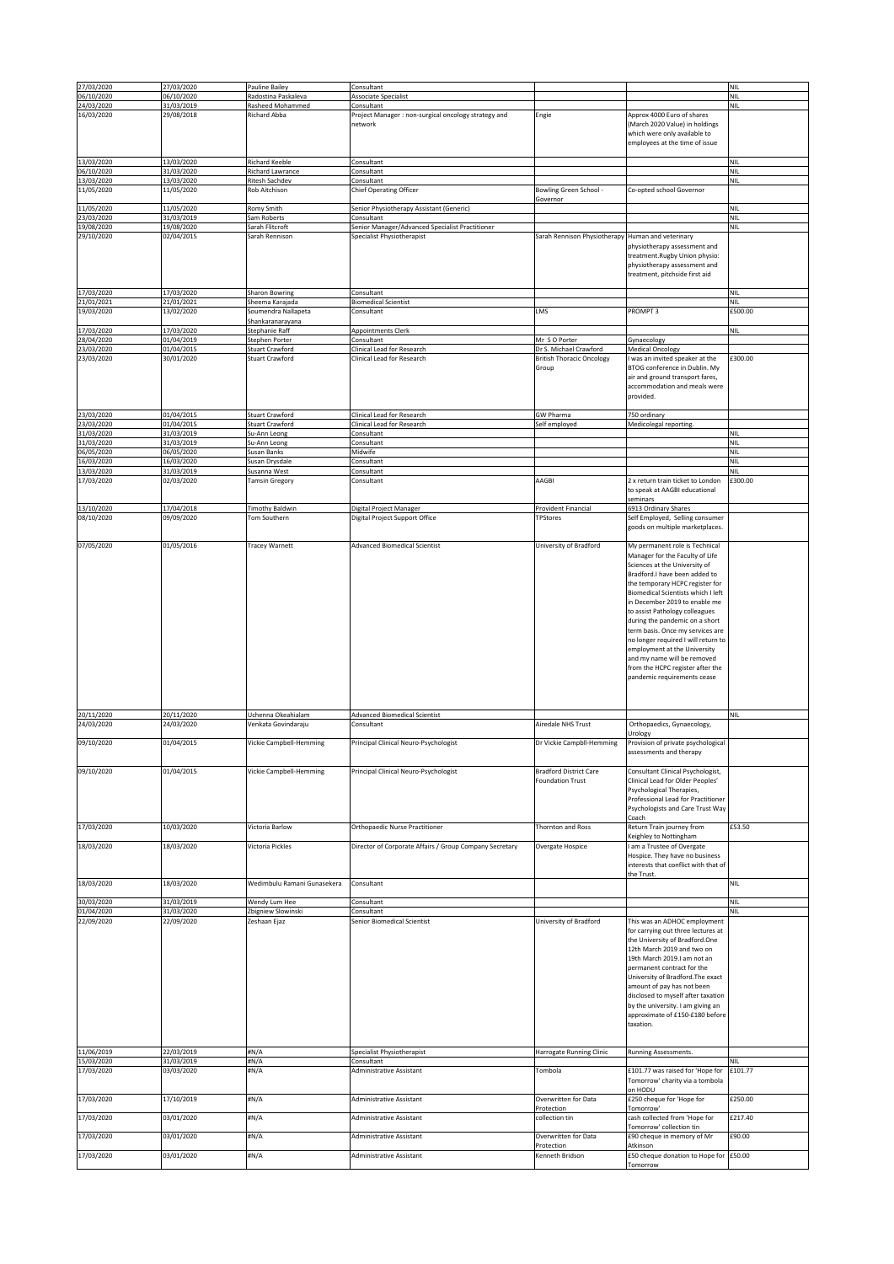| 27/03/2020               | 27/03/2020               | Pauline Bailey                          | Consultant                                                |                                        |                                                                     | <b>NIL</b>        |
|--------------------------|--------------------------|-----------------------------------------|-----------------------------------------------------------|----------------------------------------|---------------------------------------------------------------------|-------------------|
| 06/10/2020               | 06/10/2020               | Radostina Paskaleva                     | Associate Specialist                                      |                                        |                                                                     | <b>NIL</b>        |
| 24/03/2020               | 31/03/2019               | Rasheed Mohammed                        | Consultant                                                |                                        |                                                                     | <b>NIL</b>        |
| 16/03/2020               | 29/08/2018               | Richard Abba                            | Project Manager : non-surgical oncology strategy and      | Engie                                  | Approx 4000 Euro of shares                                          |                   |
|                          |                          |                                         | network                                                   |                                        | (March 2020 Value) in holdings                                      |                   |
|                          |                          |                                         |                                                           |                                        | which were only available to<br>employees at the time of issue      |                   |
|                          |                          |                                         |                                                           |                                        |                                                                     |                   |
| 13/03/2020               | 13/03/2020               | Richard Keeble                          | Consultant                                                |                                        |                                                                     | <b>NIL</b>        |
| 06/10/2020               | 31/03/2020               | Richard Lawrance                        | Consultant                                                |                                        |                                                                     | <b>NIL</b>        |
| 13/03/2020               | 13/03/2020               | Ritesh Sachdev                          | Consultant                                                |                                        |                                                                     | <b>NIL</b>        |
| 11/05/2020               | 11/05/2020               | Rob Aitchison                           | <b>Chief Operating Officer</b>                            | Bowling Green School -                 | Co-opted school Governor                                            |                   |
| 11/05/2020               | 11/05/2020               | Romy Smith                              | Senior Physiotherapy Assistant (Generic)                  | Governor                               |                                                                     | <b>NIL</b>        |
| 23/03/2020               | 31/03/2019               | Sam Roberts                             | Consultant                                                |                                        |                                                                     | <b>NIL</b>        |
| 19/08/2020               | 19/08/2020               | Sarah Flitcroft                         | Senior Manager/Advanced Specialist Practitioner           |                                        |                                                                     | <b>NIL</b>        |
| 29/10/2020               | 02/04/2015               | Sarah Rennison                          | Specialist Physiotherapist                                | Sarah Rennison Physiotherapy           | Human and veterinary                                                |                   |
|                          |                          |                                         |                                                           |                                        | physiotherapy assessment and                                        |                   |
|                          |                          |                                         |                                                           |                                        | treatment.Rugby Union physio:<br>physiotherapy assessment and       |                   |
|                          |                          |                                         |                                                           |                                        | treatment, pitchside first aid                                      |                   |
|                          |                          |                                         |                                                           |                                        |                                                                     |                   |
| 17/03/2020               | 17/03/2020               | Sharon Bowring                          | Consultant                                                |                                        |                                                                     | <b>NIL</b>        |
| 21/01/2021               | 21/01/2021               | Sheema Karajada                         | <b>Biomedical Scientist</b>                               |                                        |                                                                     | <b>NIL</b>        |
| 19/03/2020               | 13/02/2020               | Soumendra Nallapeta<br>Shankaranarayana | Consultant                                                | LMS                                    | PROMPT <sub>3</sub>                                                 | £500.00           |
| 17/03/2020               | 17/03/2020               | Stephanie Raff                          | Appointments Clerk                                        |                                        |                                                                     | <b>NIL</b>        |
| 28/04/2020               | 01/04/2019               | Stephen Porter                          | Consultant                                                | Mr SO Porter                           | Gynaecology                                                         |                   |
| 23/03/2020               | 01/04/2015               | Stuart Crawford                         | Clinical Lead for Research                                | Dr S. Michael Crawford                 | <b>Medical Oncology</b>                                             |                   |
| 23/03/2020               | 30/01/2020               | Stuart Crawford                         | Clinical Lead for Research                                | <b>British Thoracic Oncology</b>       | I was an invited speaker at the                                     | £300.00           |
|                          |                          |                                         |                                                           | Group                                  | BTOG conference in Dublin. My<br>air and ground transport fares,    |                   |
|                          |                          |                                         |                                                           |                                        | accommodation and meals were                                        |                   |
|                          |                          |                                         |                                                           |                                        | provided.                                                           |                   |
|                          |                          |                                         |                                                           |                                        |                                                                     |                   |
| 23/03/2020               | 01/04/2015               | <b>Stuart Crawford</b>                  | Clinical Lead for Research                                | GW Pharma                              | 750 ordinary                                                        |                   |
| 23/03/2020               | 01/04/2015               | Stuart Crawford                         | Clinical Lead for Research                                | Self employed                          | Medicolegal reporting.                                              |                   |
| 31/03/2020<br>31/03/2020 | 31/03/2019<br>31/03/2019 | Su-Ann Leong                            | Consultant<br>Consultant                                  |                                        |                                                                     | NII<br><b>NIL</b> |
| 06/05/2020               | 06/05/2020               | Su-Ann Leong<br>Susan Banks             | Midwife                                                   |                                        |                                                                     | NIL               |
| 16/03/2020               | 16/03/2020               | Susan Drysdale                          | Consultant                                                |                                        |                                                                     | <b>NIL</b>        |
| 13/03/2020               | 31/03/2019               | Susanna West                            | Consultant                                                |                                        |                                                                     | <b>NIL</b>        |
| 17/03/2020               | 02/03/2020               | <b>Tamsin Gregory</b>                   | Consultant                                                | AAGBI                                  | 2 x return train ticket to London                                   | £300.00           |
|                          |                          |                                         |                                                           |                                        | to speak at AAGBI educational                                       |                   |
|                          |                          |                                         |                                                           |                                        | seminars                                                            |                   |
| 13/10/2020<br>08/10/2020 | 17/04/2018<br>09/09/2020 | Timothy Baldwin<br>Tom Southern         | Digital Project Manager<br>Digital Project Support Office | Provident Financial<br><b>TPStores</b> | 6913 Ordinary Shares<br>Self Employed, Selling consumer             |                   |
|                          |                          |                                         |                                                           |                                        | goods on multiple marketplaces.                                     |                   |
|                          |                          |                                         |                                                           |                                        |                                                                     |                   |
| 07/05/2020               | 01/05/2016               | Tracey Warnett                          | <b>Advanced Biomedical Scientist</b>                      | University of Bradford                 | My permanent role is Technical                                      |                   |
|                          |                          |                                         |                                                           |                                        | Manager for the Faculty of Life                                     |                   |
|                          |                          |                                         |                                                           |                                        | Sciences at the University of                                       |                   |
|                          |                          |                                         |                                                           |                                        | Bradford.I have been added to                                       |                   |
|                          |                          |                                         |                                                           |                                        | the temporary HCPC register for                                     |                   |
|                          |                          |                                         |                                                           |                                        | Biomedical Scientists which I left<br>in December 2019 to enable me |                   |
|                          |                          |                                         |                                                           |                                        | to assist Pathology colleagues                                      |                   |
|                          |                          |                                         |                                                           |                                        | during the pandemic on a short                                      |                   |
|                          |                          |                                         |                                                           |                                        | term basis. Once my services are                                    |                   |
|                          |                          |                                         |                                                           |                                        | no longer required I will return to                                 |                   |
|                          |                          |                                         |                                                           |                                        | employment at the University                                        |                   |
|                          |                          |                                         |                                                           |                                        | and my name will be removed                                         |                   |
|                          |                          |                                         |                                                           |                                        | from the HCPC register after the                                    |                   |
|                          |                          |                                         |                                                           |                                        | pandemic requirements cease                                         |                   |
|                          |                          |                                         |                                                           |                                        |                                                                     |                   |
|                          |                          |                                         |                                                           |                                        |                                                                     |                   |
| 20/11/2020               | 20/11/2020               | Uchenna Okeahialam                      | <b>Advanced Biomedical Scientist</b>                      |                                        |                                                                     | <b>NIL</b>        |
| 24/03/2020               | 24/03/2020               | Venkata Govindaraju                     | Consultant                                                | Airedale NHS Trust                     | Orthopaedics, Gynaecology,                                          |                   |
|                          |                          |                                         |                                                           |                                        | Urology                                                             |                   |
| 09/10/2020               | 01/04/2015               | Vickie Campbell-Hemming                 | Principal Clinical Neuro-Psychologist                     | Dr Vickie Campbll-Hemming              | Provision of private psychological                                  |                   |
|                          |                          |                                         |                                                           |                                        | assessments and therapy                                             |                   |
| 09/10/2020               | 01/04/2015               | Vickie Campbell-Hemming                 | Principal Clinical Neuro-Psychologist                     | <b>Bradford District Care</b>          | Consultant Clinical Psychologist,                                   |                   |
|                          |                          |                                         |                                                           | <b>Foundation Trust</b>                | Clinical Lead for Older Peoples'                                    |                   |
|                          |                          |                                         |                                                           |                                        | Psychological Therapies,                                            |                   |
|                          |                          |                                         |                                                           |                                        | Professional Lead for Practitioner                                  |                   |
|                          |                          |                                         |                                                           |                                        | Psychologists and Care Trust Way                                    |                   |
|                          |                          |                                         |                                                           |                                        | Coach                                                               |                   |
| 17/03/2020               | 10/03/2020               | Victoria Barlow                         | Orthopaedic Nurse Practitioner                            | Thornton and Ross                      | Return Train journey from                                           | £53.50            |
| 18/03/2020               | 18/03/2020               | Victoria Pickles                        | Director of Corporate Affairs / Group Company Secretary   | Overgate Hospice                       | Keighley to Nottingham<br>I am a Trustee of Overgate                |                   |
|                          |                          |                                         |                                                           |                                        | Hospice. They have no business                                      |                   |
|                          |                          |                                         |                                                           |                                        | interests that conflict with that of                                |                   |
|                          |                          |                                         |                                                           |                                        | the Trust.                                                          |                   |
| 18/03/2020               | 18/03/2020               | Wedimbulu Ramani Gunasekera             | Consultant                                                |                                        |                                                                     | <b>NIL</b>        |
| 30/03/2020               | 31/03/2019               | Wendy Lum Hee                           | Consultant                                                |                                        |                                                                     | <b>NIL</b>        |
| 01/04/2020               | 31/03/2020               | Zbigniew Slowinski                      | Consultant                                                |                                        |                                                                     | <b>NIL</b>        |
| 22/09/2020               | 22/09/2020               | Zeshaan Ejaz                            | Senior Biomedical Scientist                               | University of Bradford                 | This was an ADHOC employment                                        |                   |
|                          |                          |                                         |                                                           |                                        | for carrying out three lectures at                                  |                   |
|                          |                          |                                         |                                                           |                                        | the University of Bradford.One                                      |                   |
|                          |                          |                                         |                                                           |                                        | 12th March 2019 and two on                                          |                   |
|                          |                          |                                         |                                                           |                                        | 19th March 2019.I am not an                                         |                   |
|                          |                          |                                         |                                                           |                                        | permanent contract for the                                          |                   |
|                          |                          |                                         |                                                           |                                        | University of Bradford. The exact                                   |                   |
|                          |                          |                                         |                                                           |                                        | amount of pay has not been<br>disclosed to myself after taxation    |                   |
|                          |                          |                                         |                                                           |                                        | by the university. I am giving an                                   |                   |
|                          |                          |                                         |                                                           |                                        | approximate of £150-£180 before                                     |                   |
|                          |                          |                                         |                                                           |                                        | taxation.                                                           |                   |
|                          |                          |                                         |                                                           |                                        |                                                                     |                   |
|                          |                          |                                         |                                                           |                                        |                                                                     |                   |
| 11/06/2019<br>15/03/2020 | 22/03/2019<br>31/03/2019 | #N/A<br>#N/A                            | Specialist Physiotherapist<br>Consultant                  | Harrogate Running Clinic               | Running Assessments.                                                | NII               |
| 17/03/2020               | 03/03/2020               | #N/A                                    | Administrative Assistant                                  | Tombola                                | £101.77 was raised for 'Hope for                                    | £101.77           |
|                          |                          |                                         |                                                           |                                        | Tomorrow' charity via a tombola                                     |                   |
|                          |                          |                                         |                                                           |                                        | on HODU                                                             |                   |
| 17/03/2020               | 17/10/2019               | #N/A                                    | <b>Administrative Assistant</b>                           | Overwritten for Data                   | £250 cheque for 'Hope for                                           | £250.00           |
|                          |                          |                                         |                                                           | Protection                             | Tomorrow <sup>®</sup>                                               |                   |
| 17/03/2020               | 03/01/2020               | #N/A                                    | Administrative Assistant                                  | collection tin                         | cash collected from 'Hope for                                       | £217.40           |
| 17/03/2020               | 03/01/2020               | #N/A                                    | Administrative Assistant                                  | Overwritten for Data                   | Tomorrow' collection tin<br>£90 cheque in memory of Mr              | £90.00            |
|                          |                          |                                         |                                                           | Protection                             | Atkinson                                                            |                   |
| 17/03/2020               | 03/01/2020               | #N/A                                    | <b>Administrative Assistant</b>                           | Kenneth Bridson                        | £50 cheque donation to Hope for £50.00                              |                   |
|                          |                          |                                         |                                                           |                                        | Tomorrow                                                            |                   |